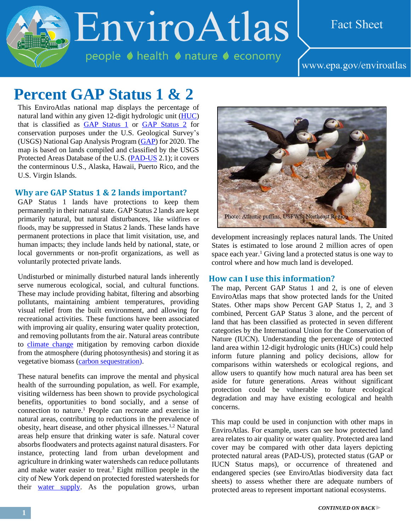# EnviroAtlas

people ♦ health ♦ nature ♦ economy

### **Fact Sheet**

www.epa.gov/enviroatlas

## **Percent GAP Status 1 & 2**

This EnviroAtlas national map displays the percentage of natural land within any given 12-digit hydrologic unit [\(HUC\)](http://enviroatlas.epa.gov/enviroatlas/glossary/glossary.html#huc) that is classified as **GAP** Status 1 or **GAP** Status 2 for conservation purposes under the U.S. Geological Survey's (USGS) National Gap Analysis Program [\(GAP\)](http://gapanalysis.usgs.gov/) for 2020. The map is based on lands compiled and classified by the USGS Protected Areas Database of the U.S. [\(PAD-US](http://gapanalysis.usgs.gov/padus/data/) 2.1); it covers the conterminous U.S., Alaska, Hawaii, Puerto Rico, and the U.S. Virgin Islands.

#### **Why are GAP Status 1 & 2 lands important?**

GAP Status 1 lands have protections to keep them permanently in their natural state. GAP Status 2 lands are kept primarily natural, but natural disturbances, like wildfires or floods, may be suppressed in Status 2 lands. These lands have permanent protections in place that limit visitation, use, and human impacts; they include lands held by national, state, or local governments or non-profit organizations, as well as voluntarily protected private lands.

Undisturbed or minimally disturbed natural lands inherently serve numerous ecological, social, and cultural functions. These may include providing habitat, filtering and absorbing pollutants, maintaining ambient temperatures, providing visual relief from the built environment, and allowing for recreational activities. These functions have been associated with improving air quality, ensuring water quality protection, and removing pollutants from the air. Natural areas contribute to [climate change](http://enviroatlas.epa.gov/enviroatlas/glossary/glossary.html#change) mitigation by removing carbon dioxide from the atmosphere (during photosynthesis) and storing it as vegetative biomass [\(carbon sequestration\)](http://enviroatlas.epa.gov/enviroatlas/glossary/glossary.html#sequestration).

These natural benefits can improve the mental and physical health of the surrounding population, as well. For example, visiting wilderness has been shown to provide psychological benefits, opportunities to bond socially, and a sense of connection to nature. <sup>1</sup> People can recreate and exercise in natural areas, contributing to reductions in the prevalence of obesity, heart disease, and other physical illnesses.1,2 Natural areas help ensure that drinking water is safe. Natural cover absorbs floodwaters and protects against natural disasters. For instance, protecting land from urban development and agriculture in drinking water watersheds can reduce pollutants and make water easier to treat. <sup>3</sup> Eight million people in the city of New York depend on protected forested watersheds for their [water supply.](http://www.pwconserve.org/issues/watersheds/newyorkcity/) As the population grows, urban



development increasingly replaces natural lands. The United States is estimated to lose around 2 million acres of open space each year. <sup>1</sup> Giving land a protected status is one way to control where and how much land is developed.

#### **How can I use this information?**

The map, Percent GAP Status 1 and 2, is one of eleven EnviroAtlas maps that show protected lands for the United States. Other maps show Percent GAP Status 1, 2, and 3 combined, Percent GAP Status 3 alone, and the percent of land that has been classified as protected in seven different categories by the International Union for the Conservation of Nature (IUCN). Understanding the percentage of protected land area within 12-digit hydrologic units (HUCs) could help inform future planning and policy decisions, allow for comparisons within watersheds or ecological regions, and allow users to quantify how much natural area has been set aside for future generations. Areas without significant protection could be vulnerable to future ecological degradation and may have existing ecological and health concerns.

This map could be used in conjunction with other maps in EnviroAtlas. For example, users can see how protected land area relates to air quality or water quality. Protected area land cover may be compared with other data layers depicting protected natural areas (PAD-US), protected status (GAP or IUCN Status maps), or occurrence of threatened and endangered species (see EnviroAtlas biodiversity data fact sheets) to assess whether there are adequate numbers of protected areas to represent important national ecosystems.